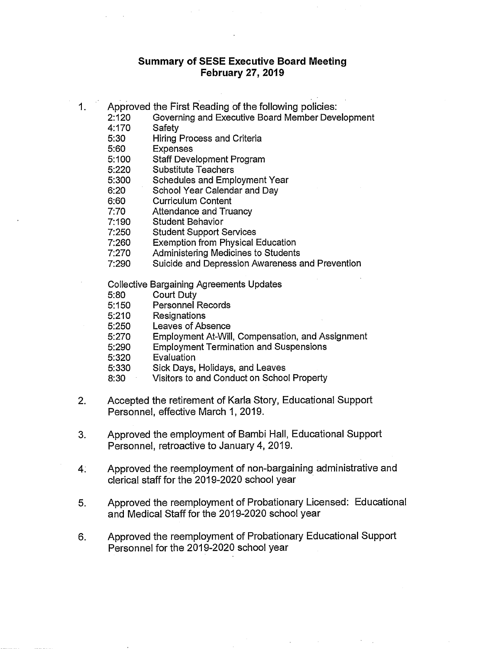## **Summary of SESE Executive Board Meeting February 27, 2019**

- 1. Approved the First Reading of the following policies:
	- 2:120 Governing and Executive Board Member Development<br>4:170 Safety
	- Safety
	- 5:30 Hiring Process and Criteria
	- 5:60 Expenses
	- 5:100 Staff Development Program
	- 5:220 Substitute Teachers
	- 5:300 Schedules and Employment Year
	- 6:20 School Year Calendar and Day
	- 6:60 Curriculum Content
	- 7:70 Attendance and Truancy
	- 7:190 Student Behavior
	- 7:250 Student Support Services
	- 7:260 Exemption from Physical Education
	- 7:270 Administering Medicines to Students
	- 7:290 Suicide and Depression Awareness and Prevention

Collective Bargaining Agreements Updates

- 5:80 Court Duty
- Personnel Records
- 5:210 Resignations
- 5:250 Leaves of Absence
- 5:270 Employment At-Will, Compensation, and Assignment
- 5:290 Employment Termination and Suspensions
- 5:320 Evaluation
- 5:330 Sick Days, Holidays, and Leaves
- 8:30 Visitors to and Conduct on School Property
- 2. Accepted the retirement of Karla Story, Educational Support Personnel, effective March 1, 2019.
- 3. Approved the employment of Bambi Hall, Educational Support Personnel, retroactive to January 4, 2019.
- 4. Approved the reemployment of non-bargaining administrative and clerical staff for the 2019-2020 school year
- 5. Approved the reemployment of Probationary Licensed: Educational and Medical Staff for the 2019-2020 school year
- 6. Approved the reemployment of Probationary Educational Support Personnel for the 2019-2020 school year